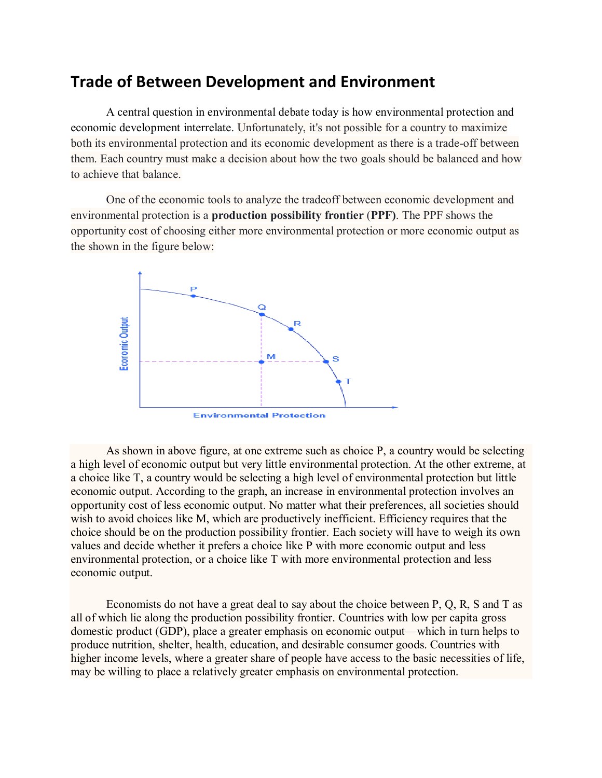## **Trade of Between Development and Environment**

A central question in environmental debate today is how environmental protection and economic development interrelate. Unfortunately, it's not possible for a country to maximize both its environmental protection and its economic development as there is a trade-off between them. Each country must make a decision about how the two goals should be balanced and how to achieve that balance.

One of the economic tools to analyze the tradeoff between economic development and environmental protection is a **production possibility frontier** (**PPF)**. The PPF shows the opportunity cost of choosing either more environmental protection or more economic output as the shown in the figure below:



As shown in above figure, at one extreme such as choice P, a country would be selecting a high level of economic output but very little environmental protection. At the other extreme, at a choice like T, a country would be selecting a high level of environmental protection but little economic output. According to the graph, an increase in environmental protection involves an opportunity cost of less economic output. No matter what their preferences, all societies should wish to avoid choices like M, which are productively inefficient. Efficiency requires that the choice should be on the production possibility frontier. Each society will have to weigh its own values and decide whether it prefers a choice like P with more economic output and less environmental protection, or a choice like T with more environmental protection and less economic output.

Economists do not have a great deal to say about the choice between P, Q, R, S and T as all of which lie along the production possibility frontier. Countries with low per capita gross domestic product (GDP), place a greater emphasis on economic output—which in turn helps to produce nutrition, shelter, health, education, and desirable consumer goods. Countries with higher income levels, where a greater share of people have access to the basic necessities of life, may be willing to place a relatively greater emphasis on environmental protection.